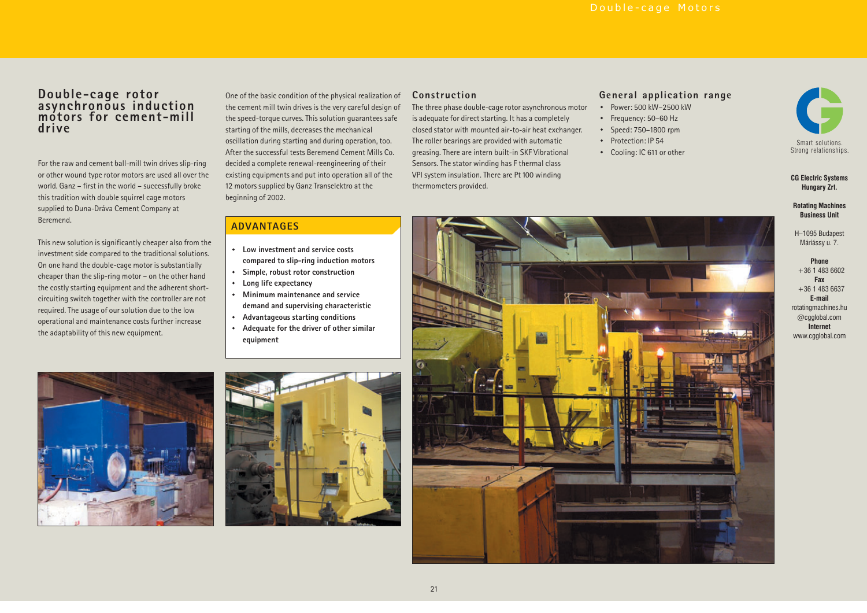**General application range**

· Power: 500 kW–2500 kW · Frequency: 50–60 Hz · Speed: 750–1800 rpm · Protection: IP 54· Cooling: IC 611 or other

# **Double-cage rotor asynchronous induction motors for cement-mill drive**

For the raw and cement ball-mill twin drives slip-ring or other wound type rotor motors are used all over the world. Ganz – first in the world – successfully broke this tradition with double squirrel cage motors supplied to Duna-Dráva Cement Company at Beremend.

This new solution is significantly cheaper also from the investment side compared to the traditional solutions. On one hand the double-cage motor is substantially cheaper than the slip-ring motor – on the other hand the costly starting equipment and the adherent shortcircuiting switch together with the controller are not required. The usage of our solution due to the low operational and maintenance costs further increase the adaptability of this new equipment.

One of the basic condition of the physical realization of the cement mill twin drives is the very careful design of the speed-torque curves. This solution guarantees safe starting of the mills, decreases the mechanical oscillation during starting and during operation, too. After the successful tests Beremend Cement Mills Co.decided <sup>a</sup> complete renewal-reengineering of their existing equipments and put into operation all of the 12 motors supplied by Ganz Transelektro at the beginning of 2002.

### **Construction**

The three phase double-cage rotor asynchronous motor is adequate for direct starting. It has <sup>a</sup> completely closed stator with mounted air-to-air heat exchanger. The roller bearings are provided with automatic greasing. There are intern built-in SKF Vibrational Sensors. The stator winding has F thermal class VPI system insulation. There are Pt 100 winding thermometers provided.

### **ADVANTAGES**

- **· Low investment and service costscompared to slip-ring induction motors**
- **· Simple, robust rotor construction**
- **· Long life expectancy**

**·**

**·**

- **Minimum maintenance and servicedemand and supervising characteristic**
- **· Advantageous starting conditions**
- **Adequate for the driver of other similar equipment**









### **CG Electric Systems Hungary Zrt.**

**Rotating Machines Business Unit**

H–1095 Budapest Máriássy u. 7.

#### **Phone** +36 1 483 6602**FaxE-mailInternet** $+36$  1 483 6637 rotatingmachines.hu @cgglobal.com www.cgglobal.com